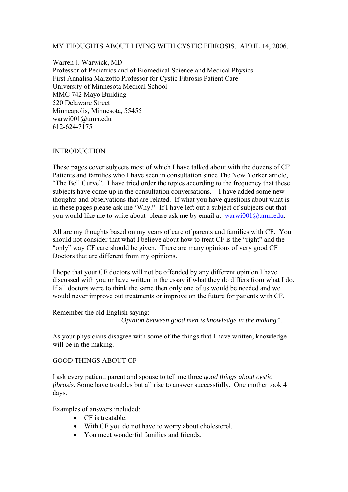## MY THOUGHTS ABOUT LIVING WITH CYSTIC FIBROSIS, APRIL 14, 2006,

Warren J. Warwick, MD Professor of Pediatrics and of Biomedical Science and Medical Physics First Annalisa Marzotto Professor for Cystic Fibrosis Patient Care University of Minnesota Medical School MMC 742 Mayo Building 520 Delaware Street Minneapolis, Minnesota, 55455 warwi001@umn.edu 612-624-7175

## INTRODUCTION

These pages cover subjects most of which I have talked about with the dozens of CF Patients and families who I have seen in consultation since The New Yorker article, "The Bell Curve". I have tried order the topics according to the frequency that these subjects have come up in the consultation conversations. I have added some new thoughts and observations that are related. If what you have questions about what is in these pages please ask me 'Why?' If I have left out a subject of subjects out that you would like me to write about please ask me by email at warwi001@umn.edu.

All are my thoughts based on my years of care of parents and families with CF. You should not consider that what I believe about how to treat CF is the "right" and the "only" way CF care should be given. There are many opinions of very good CF Doctors that are different from my opinions.

I hope that your CF doctors will not be offended by any different opinion I have discussed with you or have written in the essay if what they do differs from what I do. If all doctors were to think the same then only one of us would be needed and we would never improve out treatments or improve on the future for patients with CF.

Remember the old English saying:

*"Opinion between good men is knowledge in the making".* 

As your physicians disagree with some of the things that I have written; knowledge will be in the making.

#### GOOD THINGS ABOUT CF

I ask every patient, parent and spouse to tell me three *good things about cystic fibrosis.* Some have troubles but all rise to answer successfully. One mother took 4 days.

Examples of answers included:

- CF is treatable.
- With CF you do not have to worry about cholesterol.
- You meet wonderful families and friends.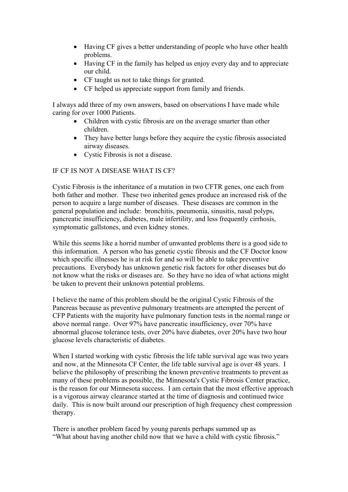- Having CF gives a better understanding of people who have other health problems.
- Having CF in the family has helped us enjoy every day and to appreciate our child.
- CF taught us not to take things for granted.
- CF helped us appreciate support from family and friends.

I always add three of my own answers, based on observations I have made while caring for over 1000 Patients.

- Children with cystic fibrosis are on the average smarter than other children.
- They have better lungs before they acquire the cystic fibrosis associated airway diseases.
- Cystic Fibrosis is not a disease.

# IF CF IS NOT A DISEASE WHAT IS CF?

Cystic Fibrosis is the inheritance of a mutation in two CFTR genes, one each from both father and mother. These two inherited genes produce an increased risk of the person to acquire a large number of diseases. These diseases are common in the general population and include: bronchitis, pneumonia, sinusitis, nasal polyps, pancreatic insufficiency, diabetes, male infertility, and less frequently cirrhosis, symptomatic gallstones, and even kidney stones.

While this seems like a horrid number of unwanted problems there is a good side to this information. A person who has genetic cystic fibrosis and the CF Doctor know which specific illnesses he is at risk for and so will be able to take preventive precautions. Everybody has unknown genetic risk factors for other diseases but do not know what the risks or diseases are. So they have no idea of what actions might be taken to prevent their unknown potential problems.

I believe the name of this problem should be the original Cystic Fibrosis of the Pancreas because as preventive pulmonary treatments are attempted the percent of CFP Patients with the majority have pulmonary function tests in the normal range or above normal range. Over 97% have pancreatic insufficiency, over 70% have abnormal glucose tolerance tests, over 20% have diabetes, over 20% have two hour glucose levels characteristic of diabetes.

When I started working with cystic fibrosis the life table survival age was two years and now, at the Minnesota CF Center, the life table survival age is over 48 years. I believe the philosophy of prescribing the known preventive treatments to prevent as many of these problems as possible, the Minnesota's Cystic Fibrosis Center practice, is the reason for our Minnesota success. I am certain that the most effective approach is a vigorous airway clearance started at the time of diagnosis and continued twice daily. This is now built around our prescription of high frequency chest compression therapy.

There is another problem faced by young parents perhaps summed up as "What about having another child now that we have a child with cystic fibrosis."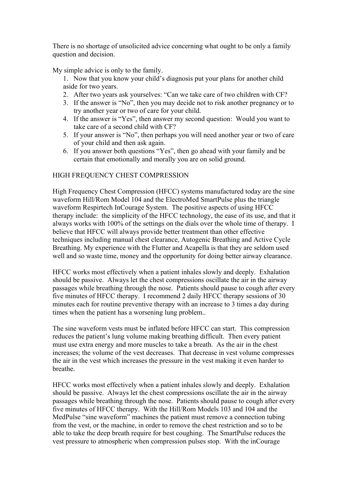There is no shortage of unsolicited advice concerning what ought to be only a family question and decision.

My simple advice is only to the family.

- 1. Now that you know your child's diagnosis put your plans for another child aside for two years.
- 2. After two years ask yourselves: "Can we take care of two children with CF?
- 3. If the answer is "No", then you may decide not to risk another pregnancy or to try another year or two of care for your child.
- 4. If the answer is "Yes", then answer my second question: Would you want to take care of a second child with CF?
- 5. If your answer is "No", then perhaps you will need another year or two of care of your child and then ask again.
- 6. If you answer both questions "Yes", then go ahead with your family and be certain that emotionally and morally you are on solid ground.

## HIGH FREQUENCY CHEST COMPRESSION

High Frequency Chest Compression (HFCC) systems manufactured today are the sine waveform Hill/Rom Model 104 and the ElectroMed SmartPulse plus the triangle waveform Respirtech InCourage System. The positive aspects of using HFCC therapy include: the simplicity of the HFCC technology, the ease of its use, and that it always works with 100% of the settings on the dials over the whole time of therapy. I believe that HFCC will always provide better treatment than other effective techniques including manual chest clearance, Autogenic Breathing and Active Cycle Breathing. My experience with the Flutter and Acapella is that they are seldom used well and so waste time, money and the opportunity for doing better airway clearance.

HFCC works most effectively when a patient inhales slowly and deeply. Exhalation should be passive. Always let the chest compressions oscillate the air in the airway passages while breathing through the nose. Patients should pause to cough after every five minutes of HFCC therapy. I recommend 2 daily HFCC therapy sessions of 30 minutes each for routine preventive therapy with an increase to 3 times a day during times when the patient has a worsening lung problem..

The sine waveform vests must be inflated before HFCC can start. This compression reduces the patient's lung volume making breathing difficult. Then every patient must use extra energy and more muscles to take a breath. As the air in the chest increases; the volume of the vest decreases. That decrease in vest volume compresses the air in the vest which increases the pressure in the vest making it even harder to breathe.

HFCC works most effectively when a patient inhales slowly and deeply. Exhalation should be passive. Always let the chest compressions oscillate the air in the airway passages while breathing through the nose. Patients should pause to cough after every five minutes of HFCC therapy. With the Hill/Rom Models 103 and 104 and the MedPulse "sine waveform" machines the patient must remove a connection tubing from the vest, or the machine, in order to remove the chest restriction and so to be able to take the deep breath require for best coughing. The SmartPulse reduces the vest pressure to atmospheric when compression pulses stop. With the inCourage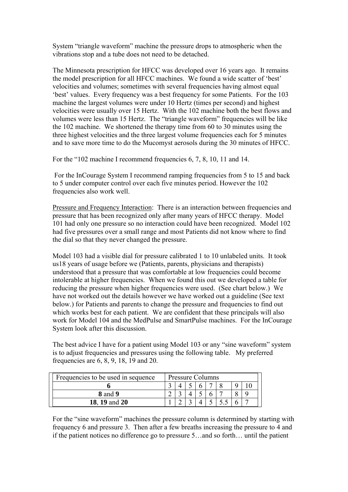System "triangle waveform" machine the pressure drops to atmospheric when the vibrations stop and a tube does not need to be detached.

The Minnesota prescription for HFCC was developed over 16 years ago. It remains the model prescription for all HFCC machines. We found a wide scatter of 'best' velocities and volumes; sometimes with several frequencies having almost equal 'best' values. Every frequency was a best frequency for some Patients. For the 103 machine the largest volumes were under 10 Hertz (times per second) and highest velocities were usually over 15 Hertz. With the 102 machine both the best flows and volumes were less than 15 Hertz. The "triangle waveform" frequencies will be like the 102 machine. We shortened the therapy time from 60 to 30 minutes using the three highest velocities and the three largest volume frequencies each for 5 minutes and to save more time to do the Mucomyst aerosols during the 30 minutes of HFCC.

For the "102 machine I recommend frequencies 6, 7, 8, 10, 11 and 14.

 For the InCourage System I recommend ramping frequencies from 5 to 15 and back to 5 under computer control over each five minutes period. However the 102 frequencies also work well.

Pressure and Frequency Interaction: There is an interaction between frequencies and pressure that has been recognized only after many years of HFCC therapy. Model 101 had only one pressure so no interaction could have been recognized. Model 102 had five pressures over a small range and most Patients did not know where to find the dial so that they never changed the pressure.

Model 103 had a visible dial for pressure calibrated 1 to 10 unlabeled units. It took us18 years of usage before we (Patients, parents, physicians and therapists) understood that a pressure that was comfortable at low frequencies could become intolerable at higher frequencies. When we found this out we developed a table for reducing the pressure when higher frequencies were used. (See chart below.) We have not worked out the details however we have worked out a guideline (See text below.) for Patients and parents to change the pressure and frequencies to find out which works best for each patient. We are confident that these principals will also work for Model 104 and the MedPulse and SmartPulse machines. For the InCourage System look after this discussion.

The best advice I have for a patient using Model 103 or any "sine waveform" system is to adjust frequencies and pressures using the following table. My preferred frequencies are 6, 8, 9, 18, 19 and 20.

| Frequencies to be used in sequence | Pressure Columns |  |  |  |  |  |  |  |
|------------------------------------|------------------|--|--|--|--|--|--|--|
|                                    |                  |  |  |  |  |  |  |  |
| <b>8</b> and <b>9</b>              |                  |  |  |  |  |  |  |  |
| <b>18, 19 and 20</b>               |                  |  |  |  |  |  |  |  |

For the "sine waveform" machines the pressure column is determined by starting with frequency 6 and pressure 3. Then after a few breaths increasing the pressure to 4 and if the patient notices no difference go to pressure 5…and so forth… until the patient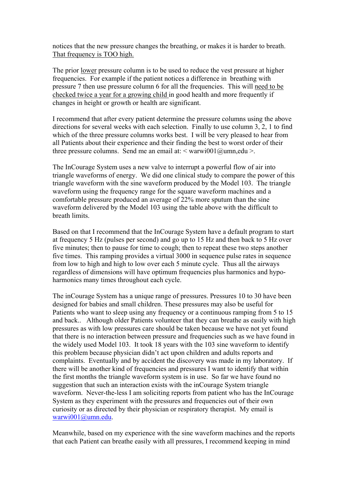notices that the new pressure changes the breathing, or makes it is harder to breath. That frequency is TOO high.

The prior lower pressure column is to be used to reduce the vest pressure at higher frequencies. For example if the patient notices a difference in breathing with pressure 7 then use pressure column 6 for all the frequencies. This will need to be checked twice a year for a growing child in good health and more frequently if changes in height or growth or health are significant.

I recommend that after every patient determine the pressure columns using the above directions for several weeks with each selection. Finally to use column 3, 2, 1 to find which of the three pressure columns works best. I will be very pleased to hear from all Patients about their experience and their finding the best to worst order of their three pressure columns. Send me an email at:  $\leq$  warwi001@umn,edu  $\geq$ .

The InCourage System uses a new valve to interrupt a powerful flow of air into triangle waveforms of energy. We did one clinical study to compare the power of this triangle waveform with the sine waveform produced by the Model 103. The triangle waveform using the frequency range for the square waveform machines and a comfortable pressure produced an average of 22% more sputum than the sine waveform delivered by the Model 103 using the table above with the difficult to breath limits.

Based on that I recommend that the InCourage System have a default program to start at frequency 5 Hz (pulses per second) and go up to 15 Hz and then back to 5 Hz over five minutes; then to pause for time to cough; then to repeat these two steps another five times. This ramping provides a virtual 3000 in sequence pulse rates in sequence from low to high and high to low over each 5 minute cycle. Thus all the airways regardless of dimensions will have optimum frequencies plus harmonics and hypoharmonics many times throughout each cycle.

The inCourage System has a unique range of pressures. Pressures 10 to 30 have been designed for babies and small children. These pressures may also be useful for Patients who want to sleep using any frequency or a continuous ramping from 5 to 15 and back.. Although older Patients volunteer that they can breathe as easily with high pressures as with low pressures care should be taken because we have not yet found that there is no interaction between pressure and frequencies such as we have found in the widely used Model 103. It took 18 years with the 103 sine waveform to identify this problem because physician didn't act upon children and adults reports and complaints. Eventually and by accident the discovery was made in my laboratory. If there will be another kind of frequencies and pressures I want to identify that within the first months the triangle waveform system is in use. So far we have found no suggestion that such an interaction exists with the inCourage System triangle waveform. Never-the-less I am soliciting reports from patient who has the InCourage System as they experiment with the pressures and frequencies out of their own curiosity or as directed by their physician or respiratory therapist. My email is warwi001@umn.edu.

Meanwhile, based on my experience with the sine waveform machines and the reports that each Patient can breathe easily with all pressures, I recommend keeping in mind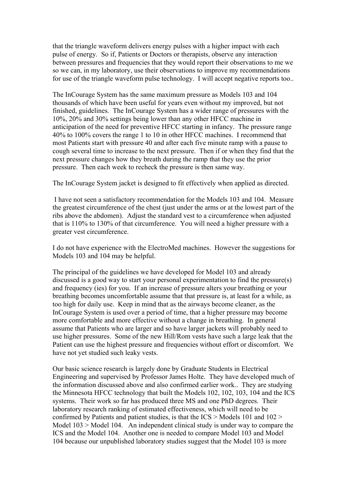that the triangle waveform delivers energy pulses with a higher impact with each pulse of energy. So if, Patients or Doctors or therapists, observe any interaction between pressures and frequencies that they would report their observations to me we so we can, in my laboratory, use their observations to improve my recommendations for use of the triangle waveform pulse technology. I will accept negative reports too..

The InCourage System has the same maximum pressure as Models 103 and 104 thousands of which have been useful for years even without my improved, but not finished, guidelines. The InCourage System has a wider range of pressures with the 10%, 20% and 30% settings being lower than any other HFCC machine in anticipation of the need for preventive HFCC starting in infancy. The pressure range 40% to 100% covers the range 1 to 10 in other HFCC machines. I recommend that most Patients start with pressure 40 and after each five minute ramp with a pause to cough several time to increase to the next pressure. Then if or when they find that the next pressure changes how they breath during the ramp that they use the prior pressure. Then each week to recheck the pressure is then same way.

The InCourage System jacket is designed to fit effectively when applied as directed.

 I have not seen a satisfactory recommendation for the Models 103 and 104. Measure the greatest circumference of the chest (just under the arms or at the lowest part of the ribs above the abdomen). Adjust the standard vest to a circumference when adjusted that is 110% to 130% of that circumference. You will need a higher pressure with a greater vest circumference.

I do not have experience with the ElectroMed machines. However the suggestions for Models 103 and 104 may be helpful.

The principal of the guidelines we have developed for Model 103 and already discussed is a good way to start your personal experimentation to find the pressure(s) and frequency (ies) for you. If an increase of pressure alters your breathing or your breathing becomes uncomfortable assume that that pressure is, at least for a while, as too high for daily use. Keep in mind that as the airways become cleaner, as the InCourage System is used over a period of time, that a higher pressure may become more comfortable and more effective without a change in breathing. In general assume that Patients who are larger and so have larger jackets will probably need to use higher pressures. Some of the new Hill/Rom vests have such a large leak that the Patient can use the highest pressure and frequencies without effort or discomfort. We have not yet studied such leaky vests.

Our basic science research is largely done by Graduate Students in Electrical Engineering and supervised by Professor James Holte. They have developed much of the information discussed above and also confirmed earlier work.. They are studying the Minnesota HFCC technology that built the Models 102, 102, 103, 104 and the ICS systems. Their work so far has produced three MS and one PhD degrees. Their laboratory research ranking of estimated effectiveness, which will need to be confirmed by Patients and patient studies, is that the ICS > Models 101 and 102 > Model 103 > Model 104. An independent clinical study is under way to compare the ICS and the Model 104. Another one is needed to compare Model 103 and Model 104 because our unpublished laboratory studies suggest that the Model 103 is more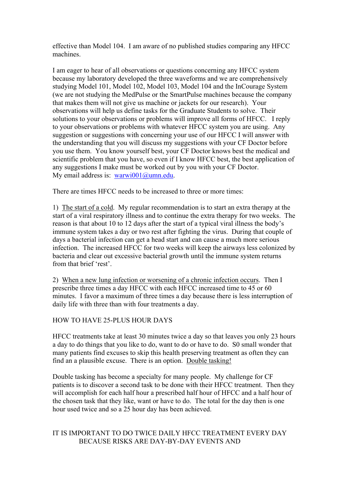effective than Model 104. I am aware of no published studies comparing any HFCC machines.

I am eager to hear of all observations or questions concerning any HFCC system because my laboratory developed the three waveforms and we are comprehensively studying Model 101, Model 102, Model 103, Model 104 and the InCourage System (we are not studying the MedPulse or the SmartPulse machines because the company that makes them will not give us machine or jackets for our research). Your observations will help us define tasks for the Graduate Students to solve. Their solutions to your observations or problems will improve all forms of HFCC. I reply to your observations or problems with whatever HFCC system you are using. Any suggestion or suggestions with concerning your use of our HFCC I will answer with the understanding that you will discuss my suggestions with your CF Doctor before you use them. You know yourself best, your CF Doctor knows best the medical and scientific problem that you have, so even if I know HFCC best, the best application of any suggestions I make must be worked out by you with your CF Doctor. My email address is: warwi001@umn.edu.

There are times HFCC needs to be increased to three or more times:

1) The start of a cold. My regular recommendation is to start an extra therapy at the start of a viral respiratory illness and to continue the extra therapy for two weeks. The reason is that about 10 to 12 days after the start of a typical viral illness the body's immune system takes a day or two rest after fighting the virus. During that couple of days a bacterial infection can get a head start and can cause a much more serious infection. The increased HFCC for two weeks will keep the airways less colonized by bacteria and clear out excessive bacterial growth until the immune system returns from that brief 'rest'.

2) When a new lung infection or worsening of a chronic infection occurs. Then I prescribe three times a day HFCC with each HFCC increased time to 45 or 60 minutes. I favor a maximum of three times a day because there is less interruption of daily life with three than with four treatments a day.

# HOW TO HAVE 25-PLUS HOUR DAYS

HFCC treatments take at least 30 minutes twice a day so that leaves you only 23 hours a day to do things that you like to do, want to do or have to do. S0 small wonder that many patients find excuses to skip this health preserving treatment as often they can find an a plausible excuse. There is an option. Double tasking!

Double tasking has become a specialty for many people. My challenge for CF patients is to discover a second task to be done with their HFCC treatment. Then they will accomplish for each half hour a prescribed half hour of HFCC and a half hour of the chosen task that they like, want or have to do. The total for the day then is one hour used twice and so a 25 hour day has been achieved.

# IT IS IMPORTANT TO DO TWICE DAILY HFCC TREATMENT EVERY DAY BECAUSE RISKS ARE DAY-BY-DAY EVENTS AND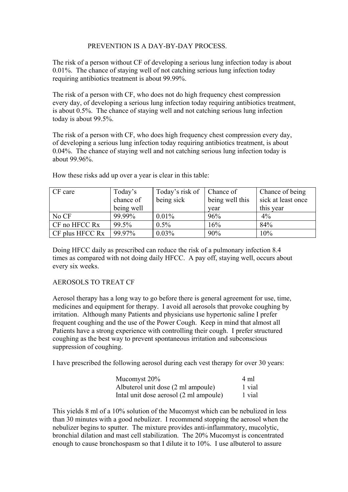# PREVENTION IS A DAY-BY-DAY PROCESS.

The risk of a person without CF of developing a serious lung infection today is about 0.01%. The chance of staying well of not catching serious lung infection today requiring antibiotics treatment is about 99.99%.

The risk of a person with CF, who does not do high frequency chest compression every day, of developing a serious lung infection today requiring antibiotics treatment, is about 0.5%. The chance of staying well and not catching serious lung infection today is about 99.5%.

The risk of a person with CF, who does high frequency chest compression every day, of developing a serious lung infection today requiring antibiotics treatment, is about 0.04%. The chance of staying well and not catching serious lung infection today is about 99.96%.

| CF care         | Today's    | Today's risk of | Chance of       | Chance of being    |
|-----------------|------------|-----------------|-----------------|--------------------|
|                 | chance of  | being sick      | being well this | sick at least once |
|                 | being well |                 | year            | this year          |
| No CF           | 99.99%     | 0.01%           | 96%             | $4\%$              |
| CF no HFCC Rx   | 99.5%      | $0.5\%$         | 16%             | 84%                |
| CF plus HFCC Rx | 99.97%     | 0.03%           | 90%             | 10%                |

How these risks add up over a year is clear in this table:

Doing HFCC daily as prescribed can reduce the risk of a pulmonary infection 8.4 times as compared with not doing daily HFCC. A pay off, staying well, occurs about every six weeks.

# AEROSOLS TO TREAT CF

Aerosol therapy has a long way to go before there is general agreement for use, time, medicines and equipment for therapy. I avoid all aerosols that provoke coughing by irritation. Although many Patients and physicians use hypertonic saline I prefer frequent coughing and the use of the Power Cough. Keep in mind that almost all Patients have a strong experience with controlling their cough. I prefer structured coughing as the best way to prevent spontaneous irritation and subconscious suppression of coughing.

I have prescribed the following aerosol during each vest therapy for over 30 years:

| Mucomyst 20%                           | 4 ml   |
|----------------------------------------|--------|
| Albuterol unit dose (2 ml ampoule)     | 1 vial |
| Intal unit dose aerosol (2 ml ampoule) | 1 vial |

This yields 8 ml of a 10% solution of the Mucomyst which can be nebulized in less than 30 minutes with a good nebulizer. I recommend stopping the aerosol when the nebulizer begins to sputter. The mixture provides anti-inflammatory, mucolytic, bronchial dilation and mast cell stabilization. The 20% Mucomyst is concentrated enough to cause bronchospasm so that I dilute it to 10%. I use albuterol to assure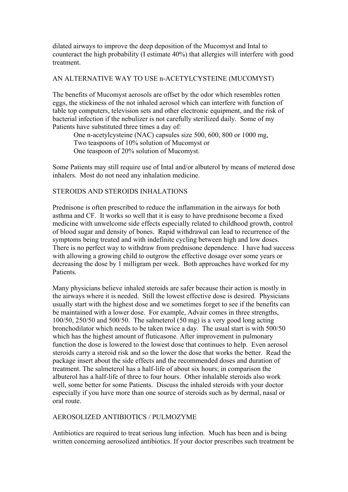dilated airways to improve the deep deposition of the Mucomyst and Intal to counteract the high probability (I estimate 40%) that allergies will interfere with good treatment.

## AN ALTERNATIVE WAY TO USE n-ACETYLCYSTEINE (MUCOMYST)

The benefits of Mucomyst aerosols are offset by the odor which resembles rotten eggs, the stickiness of the not inhaled aerosol which can interfere with function of table top computers, television sets and other electronic equipment, and the risk of bacterial infection if the nebulizer is not carefully sterilized daily. Some of my Patients have substituted three times a day of:

 One n-acetylcysteine (NAC) capsules size 500, 600, 800 or 1000 mg, Two teaspoons of 10% solution of Mucomyst or One teaspoon of 20% solution of Mucomyst.

Some Patients may still require use of Intal and/or albuterol by means of metered dose inhalers. Most do not need any inhalation medicine.

#### STEROIDS AND STEROIDS INHALATIONS

Prednisone is often prescribed to reduce the inflammation in the airways for both asthma and CF. It works so well that it is easy to have prednisone become a fixed medicine with unwelcome side effects especially related to childhood growth, control of blood sugar and density of bones. Rapid withdrawal can lead to recurrence of the symptoms being treated and with indefinite cycling between high and low doses. There is no perfect way to withdraw from prednisone dependence. I have had success with allowing a growing child to outgrow the effective dosage over some years or decreasing the dose by 1 milligram per week. Both approaches have worked for my Patients.

Many physicians believe inhaled steroids are safer because their action is mostly in the airways where it is needed. Still the lowest effective dose is desired. Physicians usually start with the highest dose and we sometimes forget to see if the benefits can be maintained with a lower dose. For example, Advair comes in three strengths, 100/50, 250/50 and 500/50. The salmeterol (50 mg) is a very good long acting bronchodilator which needs to be taken twice a day. The usual start is with 500/50 which has the highest amount of fluticasone. After improvement in pulmonary function the dose is lowered to the lowest dose that continues to help. Even aerosol steroids carry a steroid risk and so the lower the dose that works the better. Read the package insert about the side effects and the recommended doses and duration of treatment. The salmeterol has a half-life of about six hours; in comparison the albuterol has a half-life of three to four hours. Other inhalable steroids also work well, some better for some Patients. Discuss the inhaled steroids with your doctor especially if you have more than one source of steroids such as by dermal, nasal or oral route.

#### AEROSOLIZED ANTIBIOTICS / PULMOZYME

Antibiotics are required to treat serious lung infection. Much has been and is being written concerning aerosolized antibiotics. If your doctor prescribes such treatment be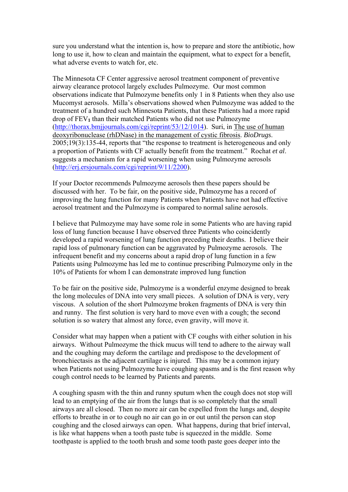sure you understand what the intention is, how to prepare and store the antibiotic, how long to use it, how to clean and maintain the equipment, what to expect for a benefit, what adverse events to watch for, etc.

The Minnesota CF Center aggressive aerosol treatment component of preventive airway clearance protocol largely excludes Pulmozyme. Our most common observations indicate that Pulmozyme benefits only 1 in 8 Patients when they also use Mucomyst aerosols. Milla's observations showed when Pulmozyme was added to the treatment of a hundred such Minnesota Patients, that these Patients had a more rapid drop of FEV**1** than their matched Patients who did not use Pulmozyme (http://thorax.bmjjournals.com/cgi/reprint/53/12/1014). Suri, in The use of human deoxyribonuclease (rhDNase) in the management of cystic fibrosis. *BioDrugs*. 2005;19(3):135-44, reports that "the response to treatment is heterogeneous and only a proportion of Patients with CF actually benefit from the treatment." Rochat *et al*. suggests a mechanism for a rapid worsening when using Pulmozyme aerosols (http://erj.ersjournals.com/cgi/reprint/9/11/2200).

If your Doctor recommends Pulmozyme aerosols then these papers should be discussed with her. To be fair, on the positive side, Pulmozyme has a record of improving the lung function for many Patients when Patients have not had effective aerosol treatment and the Pulmozyme is compared to normal saline aerosols.

I believe that Pulmozyme may have some role in some Patients who are having rapid loss of lung function because I have observed three Patients who coincidently developed a rapid worsening of lung function preceding their deaths. I believe their rapid loss of pulmonary function can be aggravated by Pulmozyme aerosols. The infrequent benefit and my concerns about a rapid drop of lung function in a few Patients using Pulmozyme has led me to continue prescribing Pulmozyme only in the 10% of Patients for whom I can demonstrate improved lung function

To be fair on the positive side, Pulmozyme is a wonderful enzyme designed to break the long molecules of DNA into very small pieces. A solution of DNA is very, very viscous. A solution of the short Pulmozyme broken fragments of DNA is very thin and runny. The first solution is very hard to move even with a cough; the second solution is so watery that almost any force, even gravity, will move it.

Consider what may happen when a patient with CF coughs with either solution in his airways. Without Pulmozyme the thick mucus will tend to adhere to the airway wall and the coughing may deform the cartilage and predispose to the development of bronchiectasis as the adjacent cartilage is injured. This may be a common injury when Patients not using Pulmozyme have coughing spasms and is the first reason why cough control needs to be learned by Patients and parents.

A coughing spasm with the thin and runny sputum when the cough does not stop will lead to an emptying of the air from the lungs that is so completely that the small airways are all closed. Then no more air can be expelled from the lungs and, despite efforts to breathe in or to cough no air can go in or out until the person can stop coughing and the closed airways can open. What happens, during that brief interval, is like what happens when a tooth paste tube is squeezed in the middle. Some toothpaste is applied to the tooth brush and some tooth paste goes deeper into the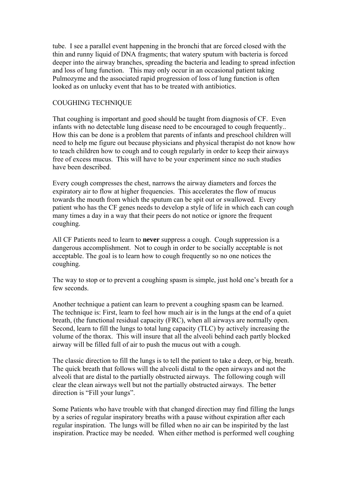tube. I see a parallel event happening in the bronchi that are forced closed with the thin and runny liquid of DNA fragments; that watery sputum with bacteria is forced deeper into the airway branches, spreading the bacteria and leading to spread infection and loss of lung function. This may only occur in an occasional patient taking Pulmozyme and the associated rapid progression of loss of lung function is often looked as on unlucky event that has to be treated with antibiotics.

#### COUGHING TECHNIQUE

That coughing is important and good should be taught from diagnosis of CF. Even infants with no detectable lung disease need to be encouraged to cough frequently.. How this can be done is a problem that parents of infants and preschool children will need to help me figure out because physicians and physical therapist do not know how to teach children how to cough and to cough regularly in order to keep their airways free of excess mucus. This will have to be your experiment since no such studies have been described.

Every cough compresses the chest, narrows the airway diameters and forces the expiratory air to flow at higher frequencies. This accelerates the flow of mucus towards the mouth from which the sputum can be spit out or swallowed. Every patient who has the CF genes needs to develop a style of life in which each can cough many times a day in a way that their peers do not notice or ignore the frequent coughing.

All CF Patients need to learn to **never** suppress a cough. Cough suppression is a dangerous accomplishment. Not to cough in order to be socially acceptable is not acceptable. The goal is to learn how to cough frequently so no one notices the coughing.

The way to stop or to prevent a coughing spasm is simple, just hold one's breath for a few seconds.

Another technique a patient can learn to prevent a coughing spasm can be learned. The technique is: First, learn to feel how much air is in the lungs at the end of a quiet breath, (the functional residual capacity (FRC), when all airways are normally open. Second, learn to fill the lungs to total lung capacity (TLC) by actively increasing the volume of the thorax. This will insure that all the alveoli behind each partly blocked airway will be filled full of air to push the mucus out with a cough.

The classic direction to fill the lungs is to tell the patient to take a deep, or big, breath. The quick breath that follows will the alveoli distal to the open airways and not the alveoli that are distal to the partially obstructed airways. The following cough will clear the clean airways well but not the partially obstructed airways. The better direction is "Fill your lungs".

Some Patients who have trouble with that changed direction may find filling the lungs by a series of regular inspiratory breaths with a pause without expiration after each regular inspiration. The lungs will be filled when no air can be inspirited by the last inspiration. Practice may be needed. When either method is performed well coughing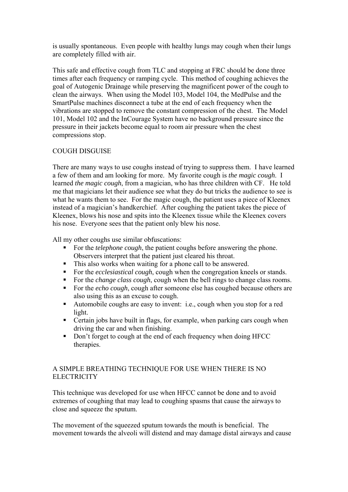is usually spontaneous. Even people with healthy lungs may cough when their lungs are completely filled with air.

This safe and effective cough from TLC and stopping at FRC should be done three times after each frequency or ramping cycle. This method of coughing achieves the goal of Autogenic Drainage while preserving the magnificent power of the cough to clean the airways. When using the Model 103, Model 104, the MedPulse and the SmartPulse machines disconnect a tube at the end of each frequency when the vibrations are stopped to remove the constant compression of the chest. The Model 101, Model 102 and the InCourage System have no background pressure since the pressure in their jackets become equal to room air pressure when the chest compressions stop.

# COUGH DISGUISE

There are many ways to use coughs instead of trying to suppress them. I have learned a few of them and am looking for more. My favorite cough is *the magic cough*. I learned *the magic cough*, from a magician, who has three children with CF. He told me that magicians let their audience see what they do but tricks the audience to see is what he wants them to see. For the magic cough, the patient uses a piece of Kleenex instead of a magician's handkerchief. After coughing the patient takes the piece of Kleenex, blows his nose and spits into the Kleenex tissue while the Kleenex covers his nose. Everyone sees that the patient only blew his nose.

All my other coughs use similar obfuscations:

- For the *telephone cough*, the patient coughs before answering the phone. Observers interpret that the patient just cleared his throat.
- This also works when waiting for a phone call to be answered.
- For the *ecclesiastical cough*, cough when the congregation kneels or stands.
- For the *change class cough*, cough when the bell rings to change class rooms.
- For the *echo cough*, cough after someone else has coughed because others are also using this as an excuse to cough.
- Automobile coughs are easy to invent: i.e., cough when you stop for a red light.
- Certain jobs have built in flags, for example, when parking cars cough when driving the car and when finishing.
- Don't forget to cough at the end of each frequency when doing HFCC therapies.

# A SIMPLE BREATHING TECHNIQUE FOR USE WHEN THERE IS NO **ELECTRICITY**

This technique was developed for use when HFCC cannot be done and to avoid extremes of coughing that may lead to coughing spasms that cause the airways to close and squeeze the sputum.

The movement of the squeezed sputum towards the mouth is beneficial. The movement towards the alveoli will distend and may damage distal airways and cause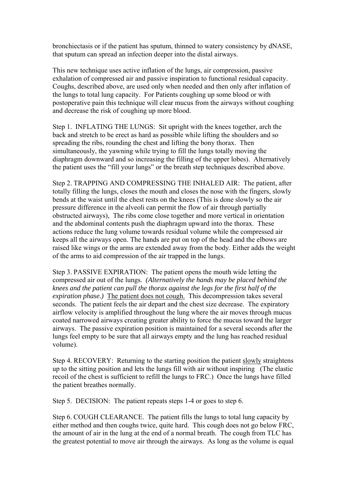bronchiectasis or if the patient has sputum, thinned to watery consistency by dNASE, that sputum can spread an infection deeper into the distal airways.

This new technique uses active inflation of the lungs, air compression, passive exhalation of compressed air and passive inspiration to functional residual capacity. Coughs, described above, are used only when needed and then only after inflation of the lungs to total lung capacity. For Patients coughing up some blood or with postoperative pain this technique will clear mucus from the airways without coughing and decrease the risk of coughing up more blood.

Step 1. INFLATING THE LUNGS: Sit upright with the knees together, arch the back and stretch to be erect as hard as possible while lifting the shoulders and so spreading the ribs, rounding the chest and lifting the bony thorax. Then simultaneously, the yawning while trying to fill the lungs totally moving the diaphragm downward and so increasing the filling of the upper lobes). Alternatively the patient uses the "fill your lungs" or the breath step techniques described above.

Step 2. TRAPPING AND COMPRESSING THE INHALED AIR: The patient, after totally filling the lungs, closes the mouth and closes the nose with the fingers, slowly bends at the waist until the chest rests on the knees (This is done slowly so the air pressure difference in the alveoli can permit the flow of air through partially obstructed airways), The ribs come close together and more vertical in orientation and the abdominal contents push the diaphragm upward into the thorax. These actions reduce the lung volume towards residual volume while the compressed air keeps all the airways open. The hands are put on top of the head and the elbows are raised like wings or the arms are extended away from the body. Either adds the weight of the arms to aid compression of the air trapped in the lungs.

Step 3. PASSIVE EXPIRATION: The patient opens the mouth wide letting the compressed air out of the lungs*. (Alternatively the hands may be placed behind the knees and the patient can pull the thorax against the legs for the first half of the expiration phase.)* The patient does not cough. This decompression takes several seconds. The patient feels the air depart and the chest size decrease. The expiratory airflow velocity is amplified throughout the lung where the air moves through mucus coated narrowed airways creating greater ability to force the mucus toward the larger airways. The passive expiration position is maintained for a several seconds after the lungs feel empty to be sure that all airways empty and the lung has reached residual volume).

Step 4. RECOVERY: Returning to the starting position the patient slowly straightens up to the sitting position and lets the lungs fill with air without inspiring (The elastic recoil of the chest is sufficient to refill the lungs to FRC.) Once the lungs have filled the patient breathes normally.

Step 5. DECISION: The patient repeats steps 1-4 or goes to step 6.

Step 6. COUGH CLEARANCE. The patient fills the lungs to total lung capacity by either method and then coughs twice, quite hard. This cough does not go below FRC, the amount of air in the lung at the end of a normal breath. The cough from TLC has the greatest potential to move air through the airways. As long as the volume is equal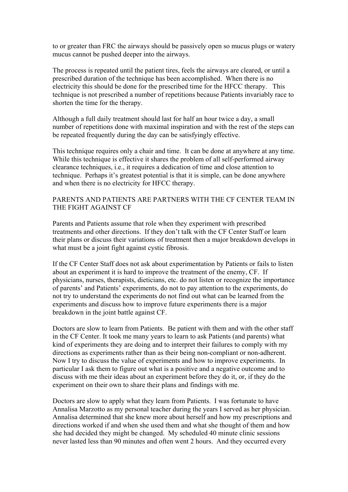to or greater than FRC the airways should be passively open so mucus plugs or watery mucus cannot be pushed deeper into the airways.

The process is repeated until the patient tires, feels the airways are cleared, or until a prescribed duration of the technique has been accomplished. When there is no electricity this should be done for the prescribed time for the HFCC therapy. This technique is not prescribed a number of repetitions because Patients invariably race to shorten the time for the therapy.

Although a full daily treatment should last for half an hour twice a day, a small number of repetitions done with maximal inspiration and with the rest of the steps can be repeated frequently during the day can be satisfyingly effective.

This technique requires only a chair and time. It can be done at anywhere at any time. While this technique is effective it shares the problem of all self-performed airway clearance techniques, i.e., it requires a dedication of time and close attention to technique. Perhaps it's greatest potential is that it is simple, can be done anywhere and when there is no electricity for HFCC therapy.

# PARENTS AND PATIENTS ARE PARTNERS WITH THE CF CENTER TEAM IN THE FIGHT AGAINST CF

Parents and Patients assume that role when they experiment with prescribed treatments and other directions. If they don't talk with the CF Center Staff or learn their plans or discuss their variations of treatment then a major breakdown develops in what must be a joint fight against cystic fibrosis.

If the CF Center Staff does not ask about experimentation by Patients or fails to listen about an experiment it is hard to improve the treatment of the enemy, CF. If physicians, nurses, therapists, dieticians, etc. do not listen or recognize the importance of parents' and Patients' experiments, do not to pay attention to the experiments, do not try to understand the experiments do not find out what can be learned from the experiments and discuss how to improve future experiments there is a major breakdown in the joint battle against CF.

Doctors are slow to learn from Patients. Be patient with them and with the other staff in the CF Center. It took me many years to learn to ask Patients (and parents) what kind of experiments they are doing and to interpret their failures to comply with my directions as experiments rather than as their being non-compliant or non-adherent. Now I try to discuss the value of experiments and how to improve experiments. In particular I ask them to figure out what is a positive and a negative outcome and to discuss with me their ideas about an experiment before they do it, or, if they do the experiment on their own to share their plans and findings with me.

Doctors are slow to apply what they learn from Patients. I was fortunate to have Annalisa Marzotto as my personal teacher during the years I served as her physician. Annalisa determined that she knew more about herself and how my prescriptions and directions worked if and when she used them and what she thought of them and how she had decided they might be changed. My scheduled 40 minute clinic sessions never lasted less than 90 minutes and often went 2 hours. And they occurred every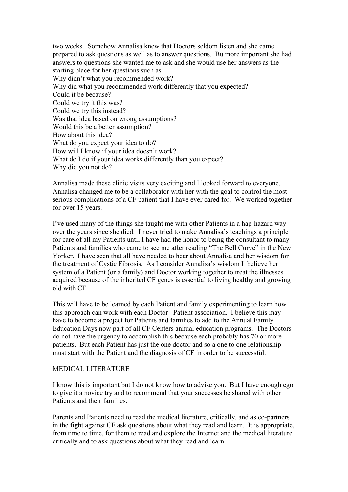two weeks. Somehow Annalisa knew that Doctors seldom listen and she came prepared to ask questions as well as to answer questions. Bu more important she had answers to questions she wanted me to ask and she would use her answers as the starting place for her questions such as Why didn't what you recommended work? Why did what you recommended work differently that you expected? Could it be because? Could we try it this was? Could we try this instead? Was that idea based on wrong assumptions? Would this be a better assumption? How about this idea? What do you expect your idea to do? How will I know if your idea doesn't work? What do I do if your idea works differently than you expect? Why did you not do?

Annalisa made these clinic visits very exciting and I looked forward to everyone. Annalisa changed me to be a collaborator with her with the goal to control the most serious complications of a CF patient that I have ever cared for. We worked together for over 15 years.

I've used many of the things she taught me with other Patients in a hap-hazard way over the years since she died. I never tried to make Annalisa's teachings a principle for care of all my Patients until I have had the honor to being the consultant to many Patients and families who came to see me after reading "The Bell Curve" in the New Yorker. I have seen that all have needed to hear about Annalisa and her wisdom for the treatment of Cystic Fibrosis. As I consider Annalisa's wisdom I believe her system of a Patient (or a family) and Doctor working together to treat the illnesses acquired because of the inherited CF genes is essential to living healthy and growing old with CF.

This will have to be learned by each Patient and family experimenting to learn how this approach can work with each Doctor –Patient association. I believe this may have to become a project for Patients and families to add to the Annual Family Education Days now part of all CF Centers annual education programs. The Doctors do not have the urgency to accomplish this because each probably has 70 or more patients. But each Patient has just the one doctor and so a one to one relationship must start with the Patient and the diagnosis of CF in order to be successful.

#### MEDICAL LITERATURE

I know this is important but I do not know how to advise you. But I have enough ego to give it a novice try and to recommend that your successes be shared with other Patients and their families.

Parents and Patients need to read the medical literature, critically, and as co-partners in the fight against CF ask questions about what they read and learn. It is appropriate, from time to time, for them to read and explore the Internet and the medical literature critically and to ask questions about what they read and learn.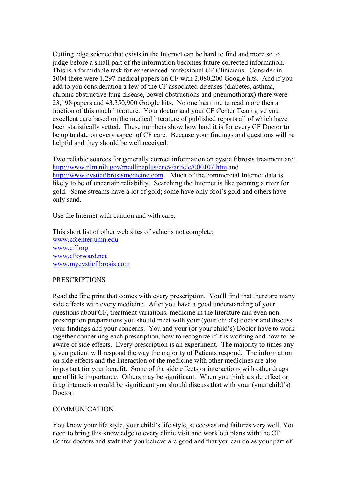Cutting edge science that exists in the Internet can be hard to find and more so to judge before a small part of the information becomes future corrected information. This is a formidable task for experienced professional CF Clinicians. Consider in 2004 there were 1,297 medical papers on CF with 2,080,200 Google hits. And if you add to you consideration a few of the CF associated diseases (diabetes, asthma, chronic obstructive lung disease, bowel obstructions and pneumothorax) there were 23,198 papers and 43,350,900 Google hits. No one has time to read more then a fraction of this much literature. Your doctor and your CF Center Team give you excellent care based on the medical literature of published reports all of which have been statistically vetted. These numbers show how hard it is for every CF Doctor to be up to date on every aspect of CF care. Because your findings and questions will be helpful and they should be well received.

Two reliable sources for generally correct information on cystic fibrosis treatment are: http://www.nlm.nih.gov/medlineplus/ency/article/000107.htm and http://www.cysticfibrosismedicine.com. Much of the commercial Internet data is likely to be of uncertain reliability. Searching the Internet is like panning a river for gold. Some streams have a lot of gold; some have only fool's gold and others have only sand.

Use the Internet with caution and with care.

This short list of other web sites of value is not complete: www.cfcenter.umn.edu www.cff.org www.cForward.net www.mycysticfibrosis.com

#### **PRESCRIPTIONS**

Read the fine print that comes with every prescription. You'll find that there are many side effects with every medicine. After you have a good understanding of your questions about CF, treatment variations, medicine in the literature and even nonprescription preparations you should meet with your (your child's) doctor and discuss your findings and your concerns. You and your (or your child's) Doctor have to work together concerning each prescription, how to recognize if it is working and how to be aware of side effects. Every prescription is an experiment. The majority to times any given patient will respond the way the majority of Patients respond. The information on side effects and the interaction of the medicine with other medicines are also important for your benefit. Some of the side effects or interactions with other drugs are of little importance. Others may be significant. When you think a side effect or drug interaction could be significant you should discuss that with your (your child's) Doctor.

#### COMMUNICATION

You know your life style, your child's life style, successes and failures very well. You need to bring this knowledge to every clinic visit and work out plans with the CF Center doctors and staff that you believe are good and that you can do as your part of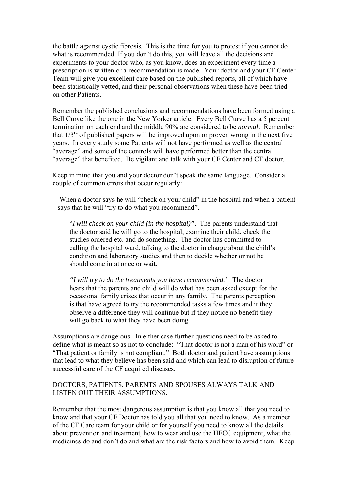the battle against cystic fibrosis. This is the time for you to protest if you cannot do what is recommended. If you don't do this, you will leave all the decisions and experiments to your doctor who, as you know, does an experiment every time a prescription is written or a recommendation is made. Your doctor and your CF Center Team will give you excellent care based on the published reports, all of which have been statistically vetted, and their personal observations when these have been tried on other Patients.

Remember the published conclusions and recommendations have been formed using a Bell Curve like the one in the New Yorker article. Every Bell Curve has a 5 percent termination on each end and the middle 90% are considered to be *normal*. Remember that  $1/3^{rd}$  of published papers will be improved upon or proven wrong in the next five years. In every study some Patients will not have performed as well as the central "average" and some of the controls will have performed better than the central "average" that benefited. Be vigilant and talk with your CF Center and CF doctor.

Keep in mind that you and your doctor don't speak the same language. Consider a couple of common errors that occur regularly:

When a doctor says he will "check on your child" in the hospital and when a patient says that he will "try to do what you recommend".

"*I will check on your child (in the hospital)"*. The parents understand that the doctor said he will go to the hospital, examine their child, check the studies ordered etc. and do something. The doctor has committed to calling the hospital ward, talking to the doctor in charge about the child's condition and laboratory studies and then to decide whether or not he should come in at once or wait.

*"I will try to do the treatments you have recommended."* The doctor hears that the parents and child will do what has been asked except for the occasional family crises that occur in any family. The parents perception is that have agreed to try the recommended tasks a few times and it they observe a difference they will continue but if they notice no benefit they will go back to what they have been doing.

Assumptions are dangerous. In either case further questions need to be asked to define what is meant so as not to conclude: "That doctor is not a man of his word" or "That patient or family is not compliant." Both doctor and patient have assumptions that lead to what they believe has been said and which can lead to disruption of future successful care of the CF acquired diseases.

## DOCTORS, PATIENTS, PARENTS AND SPOUSES ALWAYS TALK AND LISTEN OUT THEIR ASSUMPTIONS.

Remember that the most dangerous assumption is that you know all that you need to know and that your CF Doctor has told you all that you need to know. As a member of the CF Care team for your child or for yourself you need to know all the details about prevention and treatment, how to wear and use the HFCC equipment, what the medicines do and don't do and what are the risk factors and how to avoid them. Keep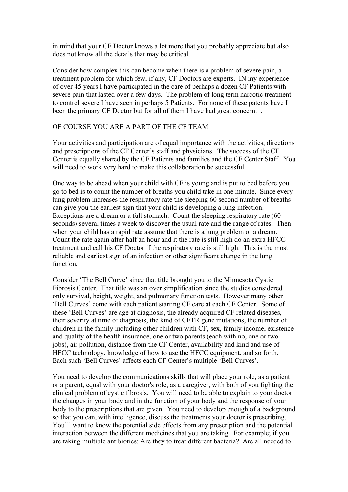in mind that your CF Doctor knows a lot more that you probably appreciate but also does not know all the details that may be critical.

Consider how complex this can become when there is a problem of severe pain, a treatment problem for which few, if any, CF Doctors are experts. IN my experience of over 45 years I have participated in the care of perhaps a dozen CF Patients with severe pain that lasted over a few days. The problem of long term narcotic treatment to control severe I have seen in perhaps 5 Patients. For none of these patents have I been the primary CF Doctor but for all of them I have had great concern...

## OF COURSE YOU ARE A PART OF THE CF TEAM

Your activities and participation are of equal importance with the activities, directions and prescriptions of the CF Center's staff and physicians. The success of the CF Center is equally shared by the CF Patients and families and the CF Center Staff. You will need to work very hard to make this collaboration be successful.

One way to be ahead when your child with CF is young and is put to bed before you go to bed is to count the number of breaths you child take in one minute. Since every lung problem increases the respiratory rate the sleeping 60 second number of breaths can give you the earliest sign that your child is developing a lung infection. Exceptions are a dream or a full stomach. Count the sleeping respiratory rate (60 seconds) several times a week to discover the usual rate and the range of rates. Then when your child has a rapid rate assume that there is a lung problem or a dream. Count the rate again after half an hour and it the rate is still high do an extra HFCC treatment and call his CF Doctor if the respiratory rate is still high. This is the most reliable and earliest sign of an infection or other significant change in the lung function.

Consider 'The Bell Curve' since that title brought you to the Minnesota Cystic Fibrosis Center. That title was an over simplification since the studies considered only survival, height, weight, and pulmonary function tests. However many other 'Bell Curves' come with each patient starting CF care at each CF Center. Some of these 'Bell Curves' are age at diagnosis, the already acquired CF related diseases, their severity at time of diagnosis, the kind of CFTR gene mutations, the number of children in the family including other children with CF, sex, family income, existence and quality of the health insurance, one or two parents (each with no, one or two jobs), air pollution, distance from the CF Center, availability and kind and use of HFCC technology, knowledge of how to use the HFCC equipment, and so forth. Each such 'Bell Curves' affects each CF Center's multiple 'Bell Curves'.

You need to develop the communications skills that will place your role, as a patient or a parent, equal with your doctor's role, as a caregiver, with both of you fighting the clinical problem of cystic fibrosis. You will need to be able to explain to your doctor the changes in your body and in the function of your body and the response of your body to the prescriptions that are given. You need to develop enough of a background so that you can, with intelligence, discuss the treatments your doctor is prescribing. You'll want to know the potential side effects from any prescription and the potential interaction between the different medicines that you are taking. For example; if you are taking multiple antibiotics: Are they to treat different bacteria? Are all needed to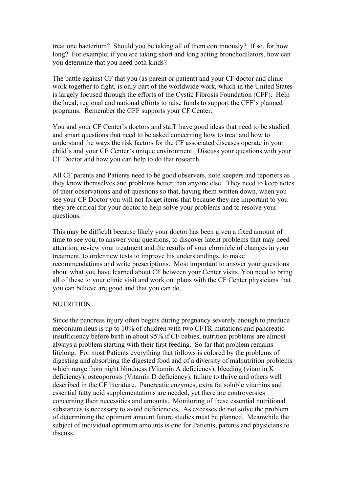treat one bacterium? Should you be taking all of them continuously? If so, for how long? For example; if you are taking short and long acting bronchodilators, how can you determine that you need both kinds?

The battle against CF that you (as parent or patient) and your CF doctor and clinic work together to fight, is only part of the worldwide work, which in the United States is largely focused through the efforts of the Cystic Fibrosis Foundation (CFF). Help the local, regional and national efforts to raise funds to support the CFF's planned programs. Remember the CFF supports your CF Center.

You and your CF Center's doctors and staff have good ideas that need to be studied and smart questions that need to be asked concerning how to treat and how to understand the ways the risk factors for the CF associated diseases operate in your child's and your CF Center's unique environment. Discuss your questions with your CF Doctor and how you can help to do that research.

All CF parents and Patients need to be good observers, note keepers and reporters as they know themselves and problems better than anyone else. They need to keep notes of their observations and of questions so that, having them written down, when you see your CF Doctor you will not forget items that because they are important to you they are critical for your doctor to help solve your problems and to resolve your questions.

This may be difficult because likely your doctor has been given a fixed amount of time to see you, to answer your questions, to discover latent problems that may need attention, review your treatment and the results of your chronicle of changes in your treatment, to order new tests to improve his understandings, to make recommendations and write prescriptions. Most important to answer your questions about what you have learned about CF between your Center visits. You need to bring all of these to your clinic visit and work out plans with the CF Center physicians that you can believe are good and that you can do.

#### **NUTRITION**

Since the pancreas injury often begins during pregnancy severely enough to produce meconium ileus is up to 10% of children with two CFTR mutations and pancreatic insufficiency before birth in about 95% if CF babies, nutrition problems are almost always a problem starting with their first feeding. So far that problem remains lifelong. For most Patients everything that follows is colored by the problems of digesting and absorbing the digested food and of a diversity of malnutrition problems which range from night blindness (Vitamin A deficiency), bleeding (vitamin K) deficiency), osteoporosis (Vitamin D deficiency), failure to thrive and others well described in the CF literature. Pancreatic enzymes, extra fat soluble vitamins and essential fatty acid supplementations are needed, yet there are controversies concerning their necessities and amounts. Monitoring of these essential nutritional substances is necessary to avoid deficiencies. As excesses do not solve the problem of determining the optimum amount future studies must be planned. Meanwhile the subject of individual optimum amounts is one for Patients, parents and physicians to discuss,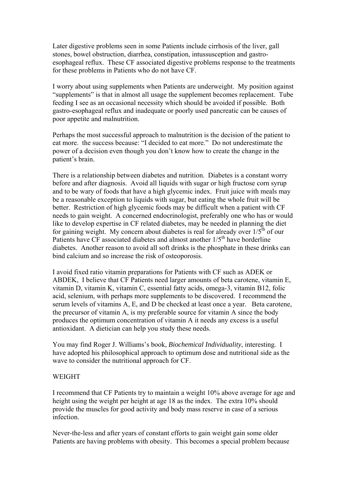Later digestive problems seen in some Patients include cirrhosis of the liver, gall stones, bowel obstruction, diarrhea, constipation, intussusception and gastroesophageal reflux. These CF associated digestive problems response to the treatments for these problems in Patients who do not have CF.

I worry about using supplements when Patients are underweight. My position against "supplements" is that in almost all usage the supplement becomes replacement. Tube feeding I see as an occasional necessity which should be avoided if possible. Both gastro-esophageal reflux and inadequate or poorly used pancreatic can be causes of poor appetite and malnutrition.

Perhaps the most successful approach to malnutrition is the decision of the patient to eat more. the success because: "I decided to eat more." Do not underestimate the power of a decision even though you don't know how to create the change in the patient's brain.

There is a relationship between diabetes and nutrition. Diabetes is a constant worry before and after diagnosis. Avoid all liquids with sugar or high fructose corn syrup and to be wary of foods that have a high glycemic index. Fruit juice with meals may be a reasonable exception to liquids with sugar, but eating the whole fruit will be better. Restriction of high glycemic foods may be difficult when a patient with CF needs to gain weight. A concerned endocrinologist, preferably one who has or would like to develop expertise in CF related diabetes, may be needed in planning the diet for gaining weight. My concern about diabetes is real for already over  $1/5<sup>th</sup>$  of our Patients have CF associated diabetes and almost another  $1/5<sup>th</sup>$  have borderline diabetes. Another reason to avoid all soft drinks is the phosphate in these drinks can bind calcium and so increase the risk of osteoporosis.

I avoid fixed ratio vitamin preparations for Patients with CF such as ADEK or ABDEK, I believe that CF Patients need larger amounts of beta carotene, vitamin E, vitamin D, vitamin K, vitamin C, essential fatty acids, omega-3, vitamin B12, folic acid, selenium, with perhaps more supplements to be discovered. I recommend the serum levels of vitamins A, E, and D be checked at least once a year. Beta carotene, the precursor of vitamin A, is my preferable source for vitamin A since the body produces the optimum concentration of vitamin A it needs any excess is a useful antioxidant. A dietician can help you study these needs.

You may find Roger J. Williams's book, *Biochemical Individuality*, interesting. I have adopted his philosophical approach to optimum dose and nutritional side as the wave to consider the nutritional approach for CF.

#### WEIGHT

I recommend that CF Patients try to maintain a weight 10% above average for age and height using the weight per height at age 18 as the index. The extra 10% should provide the muscles for good activity and body mass reserve in case of a serious infection.

Never-the-less and after years of constant efforts to gain weight gain some older Patients are having problems with obesity. This becomes a special problem because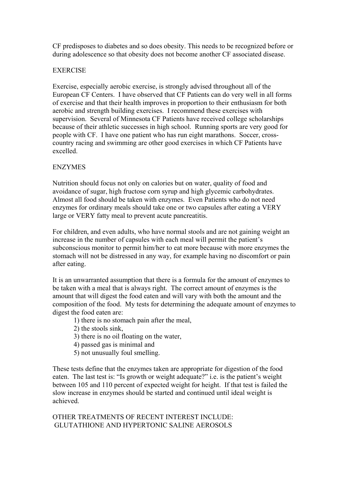CF predisposes to diabetes and so does obesity. This needs to be recognized before or during adolescence so that obesity does not become another CF associated disease.

# **EXERCISE**

Exercise, especially aerobic exercise, is strongly advised throughout all of the European CF Centers. I have observed that CF Patients can do very well in all forms of exercise and that their health improves in proportion to their enthusiasm for both aerobic and strength building exercises. I recommend these exercises with supervision. Several of Minnesota CF Patients have received college scholarships because of their athletic successes in high school. Running sports are very good for people with CF. I have one patient who has run eight marathons. Soccer, crosscountry racing and swimming are other good exercises in which CF Patients have excelled.

# ENZYMES

Nutrition should focus not only on calories but on water, quality of food and avoidance of sugar, high fructose corn syrup and high glycemic carbohydrates. Almost all food should be taken with enzymes. Even Patients who do not need enzymes for ordinary meals should take one or two capsules after eating a VERY large or VERY fatty meal to prevent acute pancreatitis.

For children, and even adults, who have normal stools and are not gaining weight an increase in the number of capsules with each meal will permit the patient's subconscious monitor to permit him/her to eat more because with more enzymes the stomach will not be distressed in any way, for example having no discomfort or pain after eating.

It is an unwarranted assumption that there is a formula for the amount of enzymes to be taken with a meal that is always right. The correct amount of enzymes is the amount that will digest the food eaten and will vary with both the amount and the composition of the food. My tests for determining the adequate amount of enzymes to digest the food eaten are:

- 1) there is no stomach pain after the meal,
- 2) the stools sink,
- 3) there is no oil floating on the water,
- 4) passed gas is minimal and
- 5) not unusually foul smelling.

These tests define that the enzymes taken are appropriate for digestion of the food eaten. The last test is: "Is growth or weight adequate?" i.e. is the patient's weight between 105 and 110 percent of expected weight for height. If that test is failed the slow increase in enzymes should be started and continued until ideal weight is achieved.

OTHER TREATMENTS OF RECENT INTEREST INCLUDE: GLUTATHIONE AND HYPERTONIC SALINE AEROSOLS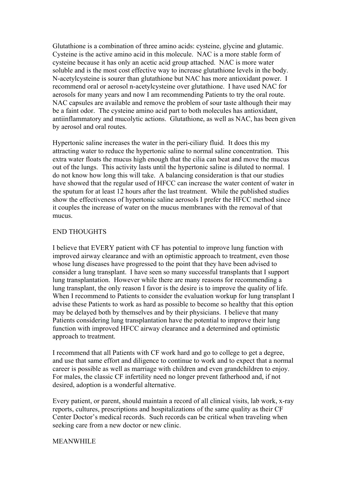Glutathione is a combination of three amino acids: cysteine, glycine and glutamic. Cysteine is the active amino acid in this molecule. NAC is a more stable form of cysteine because it has only an acetic acid group attached. NAC is more water soluble and is the most cost effective way to increase glutathione levels in the body. N-acetylcysteine is sourer than glutathione but NAC has more antioxidant power. I recommend oral or aerosol n-acetylcysteine over glutathione. I have used NAC for aerosols for many years and now I am recommending Patients to try the oral route. NAC capsules are available and remove the problem of sour taste although their may be a faint odor. The cysteine amino acid part to both molecules has antioxidant, antiinflammatory and mucolytic actions. Glutathione, as well as NAC, has been given by aerosol and oral routes.

Hypertonic saline increases the water in the peri-ciliary fluid. It does this my attracting water to reduce the hypertonic saline to normal saline concentration. This extra water floats the mucus high enough that the cilia can beat and move the mucus out of the lungs. This activity lasts until the hypertonic saline is diluted to normal. I do not know how long this will take. A balancing consideration is that our studies have showed that the regular used of HFCC can increase the water content of water in the sputum for at least 12 hours after the last treatment. While the published studies show the effectiveness of hypertonic saline aerosols I prefer the HFCC method since it couples the increase of water on the mucus membranes with the removal of that mucus.

#### END THOUGHTS

I believe that EVERY patient with CF has potential to improve lung function with improved airway clearance and with an optimistic approach to treatment, even those whose lung diseases have progressed to the point that they have been advised to consider a lung transplant. I have seen so many successful transplants that I support lung transplantation. However while there are many reasons for recommending a lung transplant, the only reason I favor is the desire is to improve the quality of life. When I recommend to Patients to consider the evaluation workup for lung transplant I advise these Patients to work as hard as possible to become so healthy that this option may be delayed both by themselves and by their physicians. I believe that many Patients considering lung transplantation have the potential to improve their lung function with improved HFCC airway clearance and a determined and optimistic approach to treatment.

I recommend that all Patients with CF work hard and go to college to get a degree, and use that same effort and diligence to continue to work and to expect that a normal career is possible as well as marriage with children and even grandchildren to enjoy. For males, the classic CF infertility need no longer prevent fatherhood and, if not desired, adoption is a wonderful alternative.

Every patient, or parent, should maintain a record of all clinical visits, lab work, x-ray reports, cultures, prescriptions and hospitalizations of the same quality as their CF Center Doctor's medical records. Such records can be critical when traveling when seeking care from a new doctor or new clinic.

#### MEANWHILE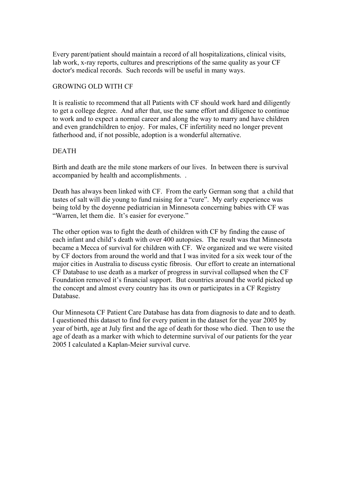Every parent/patient should maintain a record of all hospitalizations, clinical visits, lab work, x-ray reports, cultures and prescriptions of the same quality as your CF doctor's medical records. Such records will be useful in many ways.

#### GROWING OLD WITH CF

It is realistic to recommend that all Patients with CF should work hard and diligently to get a college degree. And after that, use the same effort and diligence to continue to work and to expect a normal career and along the way to marry and have children and even grandchildren to enjoy. For males, CF infertility need no longer prevent fatherhood and, if not possible, adoption is a wonderful alternative.

#### DEATH

Birth and death are the mile stone markers of our lives. In between there is survival accompanied by health and accomplishments. .

Death has always been linked with CF. From the early German song that a child that tastes of salt will die young to fund raising for a "cure". My early experience was being told by the doyenne pediatrician in Minnesota concerning babies with CF was "Warren, let them die. It's easier for everyone."

The other option was to fight the death of children with CF by finding the cause of each infant and child's death with over 400 autopsies. The result was that Minnesota became a Mecca of survival for children with CF. We organized and we were visited by CF doctors from around the world and that I was invited for a six week tour of the major cities in Australia to discuss cystic fibrosis. Our effort to create an international CF Database to use death as a marker of progress in survival collapsed when the CF Foundation removed it's financial support. But countries around the world picked up the concept and almost every country has its own or participates in a CF Registry Database.

Our Minnesota CF Patient Care Database has data from diagnosis to date and to death. I questioned this dataset to find for every patient in the dataset for the year 2005 by year of birth, age at July first and the age of death for those who died. Then to use the age of death as a marker with which to determine survival of our patients for the year 2005 I calculated a Kaplan-Meier survival curve.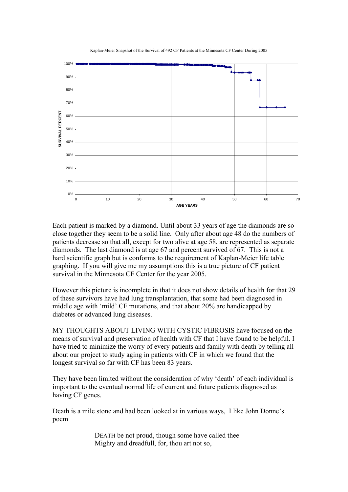Kaplan-Meier Snapshot of the Survival of 492 CF Patients at the Minnesota CF Center During 2005



Each patient is marked by a diamond. Until about 33 years of age the diamonds are so close together they seem to be a solid line. Only after about age 48 do the numbers of patients decrease so that all, except for two alive at age 58, are represented as separate diamonds. The last diamond is at age 67 and percent survived of 67. This is not a hard scientific graph but is conforms to the requirement of Kaplan-Meier life table graphing. If you will give me my assumptions this is a true picture of CF patient survival in the Minnesota CF Center for the year 2005.

However this picture is incomplete in that it does not show details of health for that 29 of these survivors have had lung transplantation, that some had been diagnosed in middle age with 'mild' CF mutations, and that about 20% are handicapped by diabetes or advanced lung diseases.

MY THOUGHTS ABOUT LIVING WITH CYSTIC FIBROSIS have focused on the means of survival and preservation of health with CF that I have found to be helpful. I have tried to minimize the worry of every patients and family with death by telling all about our project to study aging in patients with CF in which we found that the longest survival so far with CF has been 83 years.

They have been limited without the consideration of why 'death' of each individual is important to the eventual normal life of current and future patients diagnosed as having CF genes.

Death is a mile stone and had been looked at in various ways, I like John Donne's poem

> DEATH be not proud, though some have called thee Mighty and dreadfull, for, thou art not so,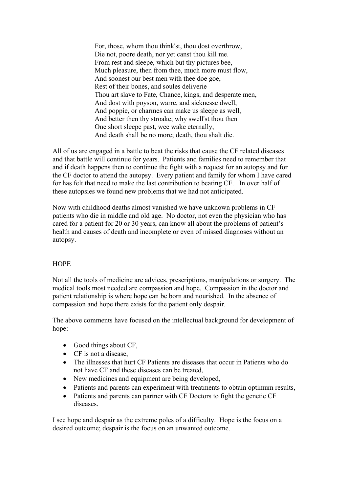For, those, whom thou think'st, thou dost overthrow, Die not, poore death, nor yet canst thou kill me. From rest and sleepe, which but thy pictures bee, Much pleasure, then from thee, much more must flow, And soonest our best men with thee doe goe, Rest of their bones, and soules deliverie Thou art slave to Fate, Chance, kings, and desperate men, And dost with poyson, warre, and sicknesse dwell, And poppie, or charmes can make us sleepe as well, And better then thy stroake; why swell'st thou then One short sleepe past, wee wake eternally, And death shall be no more; death, thou shalt die.

All of us are engaged in a battle to beat the risks that cause the CF related diseases and that battle will continue for years. Patients and families need to remember that and if death happens then to continue the fight with a request for an autopsy and for the CF doctor to attend the autopsy. Every patient and family for whom I have cared for has felt that need to make the last contribution to beating CF. In over half of these autopsies we found new problems that we had not anticipated.

Now with childhood deaths almost vanished we have unknown problems in CF patients who die in middle and old age. No doctor, not even the physician who has cared for a patient for 20 or 30 years, can know all about the problems of patient's health and causes of death and incomplete or even of missed diagnoses without an autopsy.

#### **HOPE**

Not all the tools of medicine are advices, prescriptions, manipulations or surgery. The medical tools most needed are compassion and hope. Compassion in the doctor and patient relationship is where hope can be born and nourished. In the absence of compassion and hope there exists for the patient only despair.

The above comments have focused on the intellectual background for development of hope:

- Good things about CF,
- CF is not a disease,
- The illnesses that hurt CF Patients are diseases that occur in Patients who do not have CF and these diseases can be treated,
- New medicines and equipment are being developed,
- Patients and parents can experiment with treatments to obtain optimum results,
- Patients and parents can partner with CF Doctors to fight the genetic CF diseases.

I see hope and despair as the extreme poles of a difficulty. Hope is the focus on a desired outcome; despair is the focus on an unwanted outcome.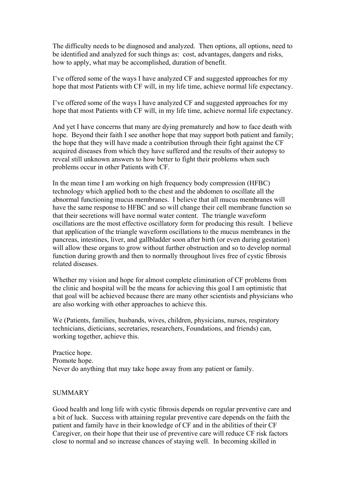The difficulty needs to be diagnosed and analyzed. Then options, all options, need to be identified and analyzed for such things as: cost, advantages, dangers and risks, how to apply, what may be accomplished, duration of benefit.

I've offered some of the ways I have analyzed CF and suggested approaches for my hope that most Patients with CF will, in my life time, achieve normal life expectancy.

I've offered some of the ways I have analyzed CF and suggested approaches for my hope that most Patients with CF will, in my life time, achieve normal life expectancy.

And yet I have concerns that many are dying prematurely and how to face death with hope. Beyond their faith I see another hope that may support both patient and family; the hope that they will have made a contribution through their fight against the CF acquired diseases from which they have suffered and the results of their autopsy to reveal still unknown answers to how better to fight their problems when such problems occur in other Patients with CF.

In the mean time I am working on high frequency body compression (HFBC) technology which applied both to the chest and the abdomen to oscillate all the abnormal functioning mucus membranes. I believe that all mucus membranes will have the same response to HFBC and so will change their cell membrane function so that their secretions will have normal water content. The triangle waveform oscillations are the most effective oscillatory form for producing this result. I believe that application of the triangle waveform oscillations to the mucus membranes in the pancreas, intestines, liver, and gallbladder soon after birth (or even during gestation) will allow these organs to grow without further obstruction and so to develop normal function during growth and then to normally throughout lives free of cystic fibrosis related diseases.

Whether my vision and hope for almost complete elimination of CF problems from the clinic and hospital will be the means for achieving this goal I am optimistic that that goal will be achieved because there are many other scientists and physicians who are also working with other approaches to achieve this.

We (Patients, families, husbands, wives, children, physicians, nurses, respiratory technicians, dieticians, secretaries, researchers, Foundations, and friends) can, working together, achieve this.

Practice hope. Promote hope. Never do anything that may take hope away from any patient or family.

### **SUMMARY**

Good health and long life with cystic fibrosis depends on regular preventive care and a bit of luck. Success with attaining regular preventive care depends on the faith the patient and family have in their knowledge of CF and in the abilities of their CF Caregiver, on their hope that their use of preventive care will reduce CF risk factors close to normal and so increase chances of staying well. In becoming skilled in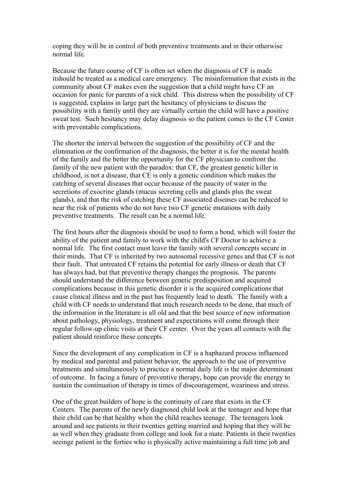coping they will be in control of both preventive treatments and in their otherwise normal life.

Because the future course of CF is often set when the diagnosis of CF is made itshould be treated as a medical care emergency. The misinformation that exists in the community about CF makes even the suggestion that a child might have CF an occasion for panic for parents of a sick child. This distress when the possibility of CF is suggested, explains in large part the hesitancy of physicians to discuss the possibility with a family until they are virtually certain the child will have a positive sweat test. Such hesitancy may delay diagnosis so the patient comes to the CF Center with preventable complications.

The shorter the interval between the suggestion of the possibility of CF and the elimination or the confirmation of the diagnosis, the better it is for the mental health of the family and the better the opportunity for the CF physician to confront the family of the new patient with the paradox: that CF, the greatest genetic killer in childhood, is not a disease, that CE is only a genetic condition which makes the catching of several diseases that occur because of the paucity of water in the secretions of exocrine glands (mucus secreting cells and glands plus the sweat glands), and that the risk of catching these CF associated diseases can be reduced to near the risk of patients who do not have two CF genetic mutations with daily preventive treatments. The result can be a normal life.

The first hours after the diagnosis should be used to form a bond, which will foster the ability of the patient and family to work with the child's CF Doctor to achieve a normal life. The first contact must leave the family with several concepts secure in their minds. That CF is inherited by two autosomal recessive genes and that CF is not their fault. That untreated CF retains the potential for early illness or death that CF has always had, but that preventive therapy changes the prognosis. The parents should understand the difference between genetic predisposition and acquired complications because in this genetic disorder it is the acquired complications that cause clinical illness and in the past has frequently lead to death. The family with a child with CF needs to understand that much research needs to be done, that much of the information in the literature is all old and that the best source of new information about pathology, physiology, treatment and expectations will come through their regular follow-up clinic visits at their CF center. Over the years all contacts with the patient should reinforce these concepts.

Since the development of any complication in CF is a haphazard process influenced by medical and parental and patient behavior, the approach to the use of preventive treatments and simultaneously to practice a normal daily life is the major determinant of outcome. In facing a future of preventive therapy, hope can provide the energy to sustain the continuation of therapy in times of discouragement, weariness and stress.

One of the great builders of hope is the continuity of care that exists in the CF Centers. The parents of the newly diagnosed child look at the teenager and hope that their child can be that healthy when the child reaches teenage. The teenagers look around and see patients in their twenties getting married and hoping that they will be as well when they graduate from college and look for a mate. Patients in their twenties seeinge patient in the forties who is physically active maintaining a full time job and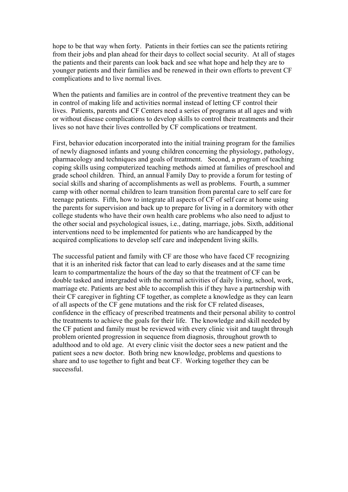hope to be that way when forty. Patients in their forties can see the patients retiring from their jobs and plan ahead for their days to collect social security. At all of stages the patients and their parents can look back and see what hope and help they are to younger patients and their families and be renewed in their own efforts to prevent CF complications and to live normal lives.

When the patients and families are in control of the preventive treatment they can be in control of making life and activities normal instead of letting CF control their lives. Patients, parents and CF Centers need a series of programs at all ages and with or without disease complications to develop skills to control their treatments and their lives so not have their lives controlled by CF complications or treatment.

First, behavior education incorporated into the initial training program for the families of newly diagnosed infants and young children concerning the physiology, pathology, pharmacology and techniques and goals of treatment. Second, a program of teaching coping skills using computerized teaching methods aimed at families of preschool and grade school children. Third, an annual Family Day to provide a forum for testing of social skills and sharing of accomplishments as well as problems. Fourth, a summer camp with other normal children to learn transition from parental care to self care for teenage patients. Fifth, how to integrate all aspects of CF of self care at home using the parents for supervision and back up to prepare for living in a dormitory with other college students who have their own health care problems who also need to adjust to the other social and psychological issues, i.e., dating, marriage, jobs. Sixth, additional interventions need to be implemented for patients who are handicapped by the acquired complications to develop self care and independent living skills.

The successful patient and family with CF are those who have faced CF recognizing that it is an inherited risk factor that can lead to early diseases and at the same time learn to compartmentalize the hours of the day so that the treatment of CF can be double tasked and intergraded with the normal activities of daily living, school, work, marriage etc. Patients are best able to accomplish this if they have a partnership with their CF caregiver in fighting CF together, as complete a knowledge as they can learn of all aspects of the CF gene mutations and the risk for CF related diseases, confidence in the efficacy of prescribed treatments and their personal ability to control the treatments to achieve the goals for their life. The knowledge and skill needed by the CF patient and family must be reviewed with every clinic visit and taught through problem oriented progression in sequence from diagnosis, throughout growth to adulthood and to old age. At every clinic visit the doctor sees a new patient and the patient sees a new doctor. Both bring new knowledge, problems and questions to share and to use together to fight and beat CF. Working together they can be successful.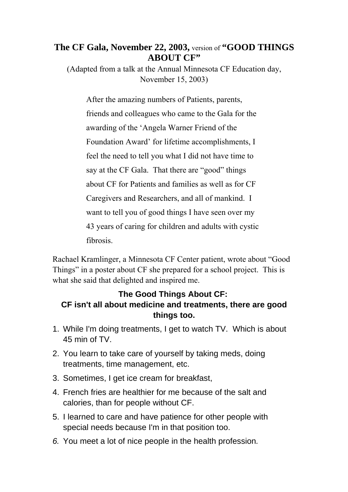# **The CF Gala, November 22, 2003,** version of **"GOOD THINGS ABOUT CF"**

(Adapted from a talk at the Annual Minnesota CF Education day, November 15, 2003)

After the amazing numbers of Patients, parents, friends and colleagues who came to the Gala for the awarding of the 'Angela Warner Friend of the Foundation Award' for lifetime accomplishments, I feel the need to tell you what I did not have time to say at the CF Gala. That there are "good" things about CF for Patients and families as well as for CF Caregivers and Researchers, and all of mankind. I want to tell you of good things I have seen over my 43 years of caring for children and adults with cystic fibrosis.

Rachael Kramlinger, a Minnesota CF Center patient, wrote about "Good Things" in a poster about CF she prepared for a school project. This is what she said that delighted and inspired me.

# **The Good Things About CF: CF isn't all about medicine and treatments, there are good things too.**

- 1. While I'm doing treatments, I get to watch TV. Which is about 45 min of TV.
- 2. You learn to take care of yourself by taking meds, doing treatments, time management, etc.
- 3. Sometimes, I get ice cream for breakfast,
- 4. French fries are healthier for me because of the salt and calories, than for people without CF.
- 5. I learned to care and have patience for other people with special needs because I'm in that position too.
- *6.* You meet a lot of nice people in the health profession*.*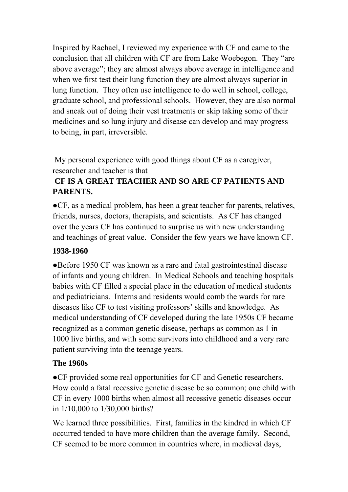Inspired by Rachael, I reviewed my experience with CF and came to the conclusion that all children with CF are from Lake Woebegon. They "are above average"; they are almost always above average in intelligence and when we first test their lung function they are almost always superior in lung function. They often use intelligence to do well in school, college, graduate school, and professional schools. However, they are also normal and sneak out of doing their vest treatments or skip taking some of their medicines and so lung injury and disease can develop and may progress to being, in part, irreversible.

My personal experience with good things about CF as a caregiver, researcher and teacher is that

# **CF IS A GREAT TEACHER AND SO ARE CF PATIENTS AND PARENTS.**

●CF, as a medical problem, has been a great teacher for parents, relatives, friends, nurses, doctors, therapists, and scientists. As CF has changed over the years CF has continued to surprise us with new understanding and teachings of great value. Consider the few years we have known CF.

# **1938-1960**

●Before 1950 CF was known as a rare and fatal gastrointestinal disease of infants and young children. In Medical Schools and teaching hospitals babies with CF filled a special place in the education of medical students and pediatricians. Interns and residents would comb the wards for rare diseases like CF to test visiting professors' skills and knowledge. As medical understanding of CF developed during the late 1950s CF became recognized as a common genetic disease, perhaps as common as 1 in 1000 live births, and with some survivors into childhood and a very rare patient surviving into the teenage years.

# **The 1960s**

●CF provided some real opportunities for CF and Genetic researchers. How could a fatal recessive genetic disease be so common; one child with CF in every 1000 births when almost all recessive genetic diseases occur in 1/10,000 to 1/30,000 births?

We learned three possibilities. First, families in the kindred in which CF occurred tended to have more children than the average family. Second, CF seemed to be more common in countries where, in medieval days,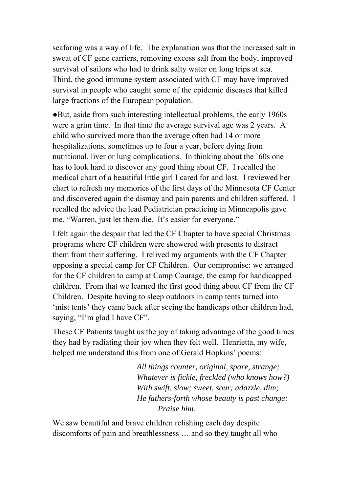seafaring was a way of life. The explanation was that the increased salt in sweat of CF gene carriers, removing excess salt from the body, improved survival of sailors who had to drink salty water on long trips at sea. Third, the good immune system associated with CF may have improved survival in people who caught some of the epidemic diseases that killed large fractions of the European population.

●But, aside from such interesting intellectual problems, the early 1960s were a grim time. In that time the average survival age was 2 years. A child who survived more than the average often had 14 or more hospitalizations, sometimes up to four a year, before dying from nutritional, liver or lung complications. In thinking about the `60s one has to look hard to discover any good thing about CF. I recalled the medical chart of a beautiful little girl I cared for and lost. I reviewed her chart to refresh my memories of the first days of the Minnesota CF Center and discovered again the dismay and pain parents and children suffered. I recalled the advice the lead Pediatrician practicing in Minneapolis gave me, "Warren, just let them die. It's easier for everyone."

I felt again the despair that led the CF Chapter to have special Christmas programs where CF children were showered with presents to distract them from their suffering. I relived my arguments with the CF Chapter opposing a special camp for CF Children. Our compromise: we arranged for the CF children to camp at Camp Courage, the camp for handicapped children. From that we learned the first good thing about CF from the CF Children. Despite having to sleep outdoors in camp tents turned into 'mist tents' they came back after seeing the handicaps other children had, saying, "I'm glad I have CF".

These CF Patients taught us the joy of taking advantage of the good times they had by radiating their joy when they felt well. Henrietta, my wife, helped me understand this from one of Gerald Hopkins' poems:

> *All things counter, original, spare, strange; Whatever is fickle, freckled (who knows how?) With swift, slow; sweet, sour; adazzle, dim; He fathers-forth whose beauty is past change: Praise him.*

We saw beautiful and brave children relishing each day despite discomforts of pain and breathlessness … and so they taught all who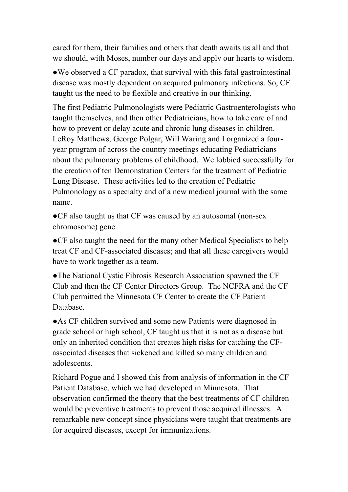cared for them, their families and others that death awaits us all and that we should, with Moses, number our days and apply our hearts to wisdom.

• We observed a CF paradox, that survival with this fatal gastrointestinal disease was mostly dependent on acquired pulmonary infections. So, CF taught us the need to be flexible and creative in our thinking.

The first Pediatric Pulmonologists were Pediatric Gastroenterologists who taught themselves, and then other Pediatricians, how to take care of and how to prevent or delay acute and chronic lung diseases in children. LeRoy Matthews, George Polgar, Will Waring and I organized a fouryear program of across the country meetings educating Pediatricians about the pulmonary problems of childhood. We lobbied successfully for the creation of ten Demonstration Centers for the treatment of Pediatric Lung Disease. These activities led to the creation of Pediatric Pulmonology as a specialty and of a new medical journal with the same name.

●CF also taught us that CF was caused by an autosomal (non-sex chromosome) gene.

●CF also taught the need for the many other Medical Specialists to help treat CF and CF-associated diseases; and that all these caregivers would have to work together as a team.

●The National Cystic Fibrosis Research Association spawned the CF Club and then the CF Center Directors Group. The NCFRA and the CF Club permitted the Minnesota CF Center to create the CF Patient Database.

●As CF children survived and some new Patients were diagnosed in grade school or high school, CF taught us that it is not as a disease but only an inherited condition that creates high risks for catching the CFassociated diseases that sickened and killed so many children and adolescents.

Richard Pogue and I showed this from analysis of information in the CF Patient Database, which we had developed in Minnesota. That observation confirmed the theory that the best treatments of CF children would be preventive treatments to prevent those acquired illnesses. A remarkable new concept since physicians were taught that treatments are for acquired diseases, except for immunizations.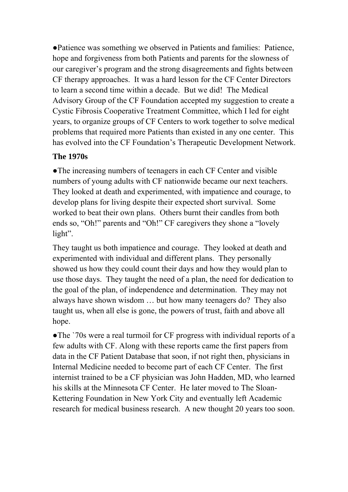●Patience was something we observed in Patients and families: Patience, hope and forgiveness from both Patients and parents for the slowness of our caregiver's program and the strong disagreements and fights between CF therapy approaches. It was a hard lesson for the CF Center Directors to learn a second time within a decade. But we did! The Medical Advisory Group of the CF Foundation accepted my suggestion to create a Cystic Fibrosis Cooperative Treatment Committee, which I led for eight years, to organize groups of CF Centers to work together to solve medical problems that required more Patients than existed in any one center. This has evolved into the CF Foundation's Therapeutic Development Network.

# **The 1970s**

●The increasing numbers of teenagers in each CF Center and visible numbers of young adults with CF nationwide became our next teachers. They looked at death and experimented, with impatience and courage, to develop plans for living despite their expected short survival. Some worked to beat their own plans. Others burnt their candles from both ends so, "Oh!" parents and "Oh!" CF caregivers they shone a "lovely light".

They taught us both impatience and courage. They looked at death and experimented with individual and different plans. They personally showed us how they could count their days and how they would plan to use those days. They taught the need of a plan, the need for dedication to the goal of the plan, of independence and determination. They may not always have shown wisdom … but how many teenagers do? They also taught us, when all else is gone, the powers of trust, faith and above all hope.

●The `70s were a real turmoil for CF progress with individual reports of a few adults with CF. Along with these reports came the first papers from data in the CF Patient Database that soon, if not right then, physicians in Internal Medicine needed to become part of each CF Center. The first internist trained to be a CF physician was John Hadden, MD, who learned his skills at the Minnesota CF Center. He later moved to The Sloan-Kettering Foundation in New York City and eventually left Academic research for medical business research. A new thought 20 years too soon.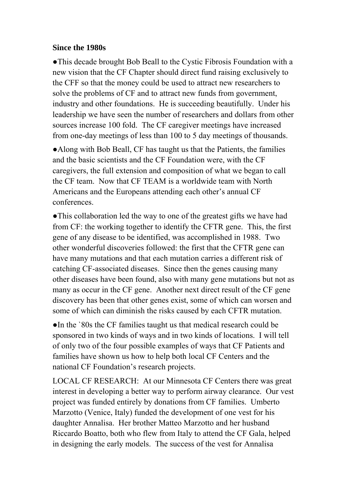# **Since the 1980s**

●This decade brought Bob Beall to the Cystic Fibrosis Foundation with a new vision that the CF Chapter should direct fund raising exclusively to the CFF so that the money could be used to attract new researchers to solve the problems of CF and to attract new funds from government, industry and other foundations. He is succeeding beautifully. Under his leadership we have seen the number of researchers and dollars from other sources increase 100 fold. The CF caregiver meetings have increased from one-day meetings of less than 100 to 5 day meetings of thousands.

●Along with Bob Beall, CF has taught us that the Patients, the families and the basic scientists and the CF Foundation were, with the CF caregivers, the full extension and composition of what we began to call the CF team. Now that CF TEAM is a worldwide team with North Americans and the Europeans attending each other's annual CF conferences.

●This collaboration led the way to one of the greatest gifts we have had from CF: the working together to identify the CFTR gene. This, the first gene of any disease to be identified, was accomplished in 1988. Two other wonderful discoveries followed: the first that the CFTR gene can have many mutations and that each mutation carries a different risk of catching CF-associated diseases. Since then the genes causing many other diseases have been found, also with many gene mutations but not as many as occur in the CF gene. Another next direct result of the CF gene discovery has been that other genes exist, some of which can worsen and some of which can diminish the risks caused by each CFTR mutation.

●In the `80s the CF families taught us that medical research could be sponsored in two kinds of ways and in two kinds of locations. I will tell of only two of the four possible examples of ways that CF Patients and families have shown us how to help both local CF Centers and the national CF Foundation's research projects.

LOCAL CF RESEARCH: At our Minnesota CF Centers there was great interest in developing a better way to perform airway clearance. Our vest project was funded entirely by donations from CF families. Umberto Marzotto (Venice, Italy) funded the development of one vest for his daughter Annalisa. Her brother Matteo Marzotto and her husband Riccardo Boatto, both who flew from Italy to attend the CF Gala, helped in designing the early models. The success of the vest for Annalisa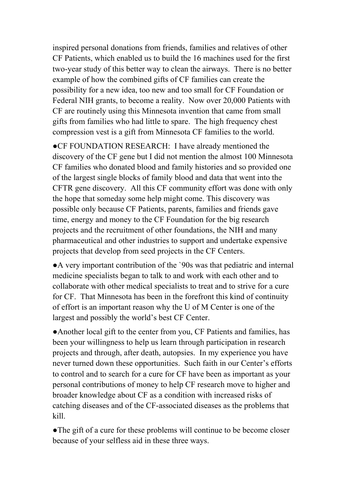inspired personal donations from friends, families and relatives of other CF Patients, which enabled us to build the 16 machines used for the first two-year study of this better way to clean the airways. There is no better example of how the combined gifts of CF families can create the possibility for a new idea, too new and too small for CF Foundation or Federal NIH grants, to become a reality. Now over 20,000 Patients with CF are routinely using this Minnesota invention that came from small gifts from families who had little to spare. The high frequency chest compression vest is a gift from Minnesota CF families to the world.

●CF FOUNDATION RESEARCH: I have already mentioned the discovery of the CF gene but I did not mention the almost 100 Minnesota CF families who donated blood and family histories and so provided one of the largest single blocks of family blood and data that went into the CFTR gene discovery. All this CF community effort was done with only the hope that someday some help might come. This discovery was possible only because CF Patients, parents, families and friends gave time, energy and money to the CF Foundation for the big research projects and the recruitment of other foundations, the NIH and many pharmaceutical and other industries to support and undertake expensive projects that develop from seed projects in the CF Centers.

●A very important contribution of the `90s was that pediatric and internal medicine specialists began to talk to and work with each other and to collaborate with other medical specialists to treat and to strive for a cure for CF. That Minnesota has been in the forefront this kind of continuity of effort is an important reason why the U of M Center is one of the largest and possibly the world's best CF Center.

●Another local gift to the center from you, CF Patients and families, has been your willingness to help us learn through participation in research projects and through, after death, autopsies. In my experience you have never turned down these opportunities. Such faith in our Center's efforts to control and to search for a cure for CF have been as important as your personal contributions of money to help CF research move to higher and broader knowledge about CF as a condition with increased risks of catching diseases and of the CF-associated diseases as the problems that kill.

●The gift of a cure for these problems will continue to be become closer because of your selfless aid in these three ways.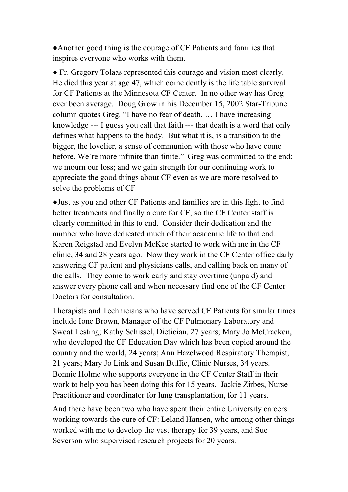●Another good thing is the courage of CF Patients and families that inspires everyone who works with them.

● Fr. Gregory Tolaas represented this courage and vision most clearly. He died this year at age 47, which coincidently is the life table survival for CF Patients at the Minnesota CF Center. In no other way has Greg ever been average. Doug Grow in his December 15, 2002 Star-Tribune column quotes Greg, "I have no fear of death, … I have increasing knowledge --- I guess you call that faith --- that death is a word that only defines what happens to the body. But what it is, is a transition to the bigger, the lovelier, a sense of communion with those who have come before. We're more infinite than finite." Greg was committed to the end; we mourn our loss; and we gain strength for our continuing work to appreciate the good things about CF even as we are more resolved to solve the problems of CF

●Just as you and other CF Patients and families are in this fight to find better treatments and finally a cure for CF, so the CF Center staff is clearly committed in this to end. Consider their dedication and the number who have dedicated much of their academic life to that end. Karen Reigstad and Evelyn McKee started to work with me in the CF clinic, 34 and 28 years ago. Now they work in the CF Center office daily answering CF patient and physicians calls, and calling back on many of the calls. They come to work early and stay overtime (unpaid) and answer every phone call and when necessary find one of the CF Center Doctors for consultation.

Therapists and Technicians who have served CF Patients for similar times include Ione Brown, Manager of the CF Pulmonary Laboratory and Sweat Testing; Kathy Schissel, Dietician, 27 years; Mary Jo McCracken, who developed the CF Education Day which has been copied around the country and the world, 24 years; Ann Hazelwood Respiratory Therapist, 21 years; Mary Jo Link and Susan Buffie, Clinic Nurses, 34 years. Bonnie Holme who supports everyone in the CF Center Staff in their work to help you has been doing this for 15 years. Jackie Zirbes, Nurse Practitioner and coordinator for lung transplantation, for 11 years.

And there have been two who have spent their entire University careers working towards the cure of CF: Leland Hansen, who among other things worked with me to develop the vest therapy for 39 years, and Sue Severson who supervised research projects for 20 years.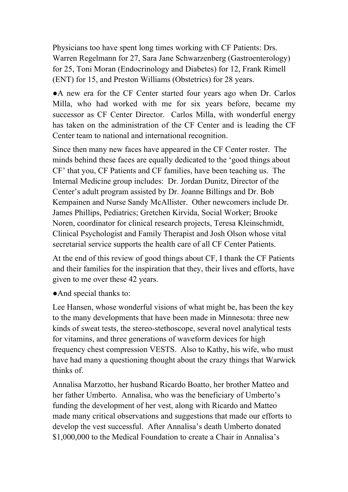Physicians too have spent long times working with CF Patients: Drs. Warren Regelmann for 27, Sara Jane Schwarzenberg (Gastroenterology) for 25, Toni Moran (Endocrinology and Diabetes) for 12, Frank Rimell (ENT) for 15, and Preston Williams (Obstetrics) for 28 years.

●A new era for the CF Center started four years ago when Dr. Carlos Milla, who had worked with me for six years before, became my successor as CF Center Director. Carlos Milla, with wonderful energy has taken on the administration of the CF Center and is leading the CF Center team to national and international recognition.

Since then many new faces have appeared in the CF Center roster. The minds behind these faces are equally dedicated to the 'good things about CF' that you, CF Patients and CF families, have been teaching us. The Internal Medicine group includes: Dr. Jordan Dunitz, Director of the Center's adult program assisted by Dr. Joanne Billings and Dr. Bob Kempainen and Nurse Sandy McAllister. Other newcomers include Dr. James Phillips, Pediatrics; Gretchen Kirvida, Social Worker; Brooke Noren, coordinator for clinical research projects, Teresa Kleinschmidt, Clinical Psychologist and Family Therapist and Josh Olson whose vital secretarial service supports the health care of all CF Center Patients.

At the end of this review of good things about CF, I thank the CF Patients and their families for the inspiration that they, their lives and efforts, have given to me over these 42 years.

●And special thanks to:

Lee Hansen, whose wonderful visions of what might be, has been the key to the many developments that have been made in Minnesota: three new kinds of sweat tests, the stereo-stethoscope, several novel analytical tests for vitamins, and three generations of waveform devices for high frequency chest compression VESTS. Also to Kathy, his wife, who must have had many a questioning thought about the crazy things that Warwick thinks of.

Annalisa Marzotto, her husband Ricardo Boatto, her brother Matteo and her father Umberto. Annalisa, who was the beneficiary of Umberto's funding the development of her vest, along with Ricardo and Matteo made many critical observations and suggestions that made our efforts to develop the vest successful. After Annalisa's death Umberto donated \$1,000,000 to the Medical Foundation to create a Chair in Annalisa's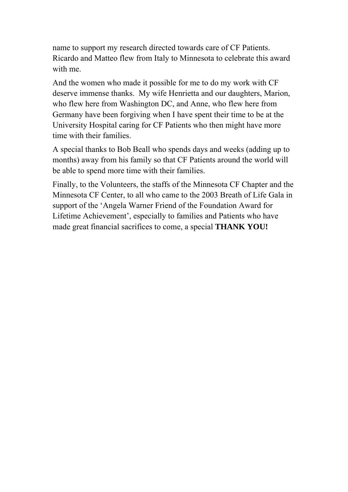name to support my research directed towards care of CF Patients. Ricardo and Matteo flew from Italy to Minnesota to celebrate this award with me.

And the women who made it possible for me to do my work with CF deserve immense thanks. My wife Henrietta and our daughters, Marion, who flew here from Washington DC, and Anne, who flew here from Germany have been forgiving when I have spent their time to be at the University Hospital caring for CF Patients who then might have more time with their families.

A special thanks to Bob Beall who spends days and weeks (adding up to months) away from his family so that CF Patients around the world will be able to spend more time with their families.

Finally, to the Volunteers, the staffs of the Minnesota CF Chapter and the Minnesota CF Center, to all who came to the 2003 Breath of Life Gala in support of the 'Angela Warner Friend of the Foundation Award for Lifetime Achievement', especially to families and Patients who have made great financial sacrifices to come, a special **THANK YOU!**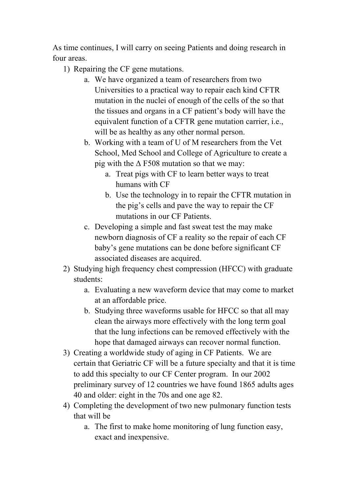As time continues, I will carry on seeing Patients and doing research in four areas.

- 1) Repairing the CF gene mutations.
	- a. We have organized a team of researchers from two Universities to a practical way to repair each kind CFTR mutation in the nuclei of enough of the cells of the so that the tissues and organs in a CF patient's body will have the equivalent function of a CFTR gene mutation carrier, i.e., will be as healthy as any other normal person.
	- b. Working with a team of U of M researchers from the Vet School, Med School and College of Agriculture to create a pig with the  $\Delta$  F508 mutation so that we may:
		- a. Treat pigs with CF to learn better ways to treat humans with CF
		- b. Use the technology in to repair the CFTR mutation in the pig's cells and pave the way to repair the CF mutations in our CF Patients.
	- c. Developing a simple and fast sweat test the may make newborn diagnosis of CF a reality so the repair of each CF baby's gene mutations can be done before significant CF associated diseases are acquired.
- 2) Studying high frequency chest compression (HFCC) with graduate students:
	- a. Evaluating a new waveform device that may come to market at an affordable price.
	- b. Studying three waveforms usable for HFCC so that all may clean the airways more effectively with the long term goal that the lung infections can be removed effectively with the hope that damaged airways can recover normal function.
- 3) Creating a worldwide study of aging in CF Patients. We are certain that Geriatric CF will be a future specialty and that it is time to add this specialty to our CF Center program. In our 2002 preliminary survey of 12 countries we have found 1865 adults ages 40 and older: eight in the 70s and one age 82.
- 4) Completing the development of two new pulmonary function tests that will be
	- a. The first to make home monitoring of lung function easy, exact and inexpensive.